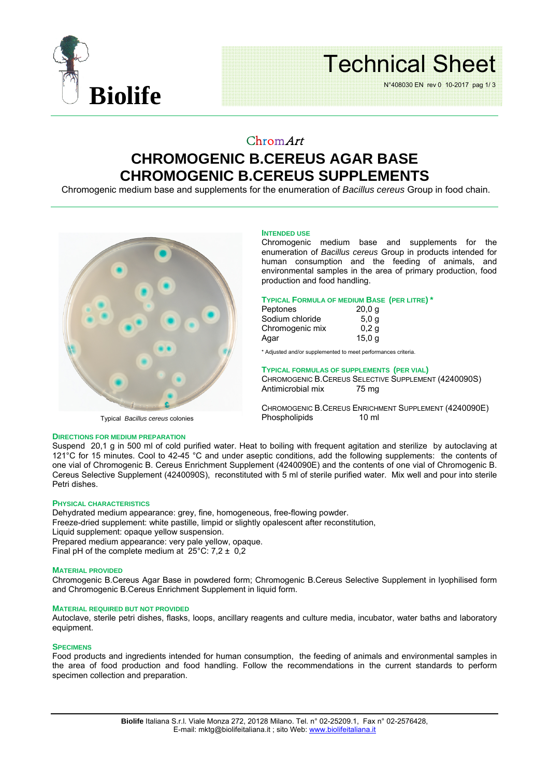

# Technical Sheet

N°408030 EN rev 0 10-2017 pag 1/ 3

# ChromArt **CHROMOGENIC B.CEREUS AGAR BASE CHROMOGENIC B.CEREUS SUPPLEMENTS**

Chromogenic medium base and supplements for the enumeration of *Bacillus cereus* Group in food chain.



### **INTENDED USE**

Chromogenic medium base and supplements for the enumeration of *Bacillus cereus* Group in products intended for human consumption and the feeding of animals, and environmental samples in the area of primary production, food production and food handling.

# **TYPICAL FORMULA OF MEDIUM BASE (PER LITRE) \***

| Peptones        | 20,0q            |
|-----------------|------------------|
| Sodium chloride | 5.0 <sub>q</sub> |
| Chromogenic mix | 0.2 <sub>q</sub> |
| Agar            | 15,0 g           |

\* Adjusted and/or supplemented to meet performances criteria.

## **TYPICAL FORMULAS OF SUPPLEMENTS (PER VIAL)**

CHROMOGENIC B.CEREUS SELECTIVE SUPPLEMENT (4240090S) Antimicrobial mix 75 mg

CHROMOGENIC B.CEREUS ENRICHMENT SUPPLEMENT (4240090E)<br>Phospholipids 10 ml Phospholipids

#### **DIRECTIONS FOR MEDIUM PREPARATION**

Suspend 20,1 g in 500 ml of cold purified water. Heat to boiling with frequent agitation and sterilize by autoclaving at 121°C for 15 minutes. Cool to 42-45 °C and under aseptic conditions, add the following supplements: the contents of one vial of Chromogenic B. Cereus Enrichment Supplement (4240090E) and the contents of one vial of Chromogenic B. Cereus Selective Supplement (4240090S), reconstituted with 5 ml of sterile purified water. Mix well and pour into sterile Petri dishes.

### **PHYSICAL CHARACTERISTICS**

Dehydrated medium appearance: grey, fine, homogeneous, free-flowing powder.

Freeze-dried supplement: white pastille, limpid or slightly opalescent after reconstitution,

Liquid supplement: opaque yellow suspension.

Prepared medium appearance: very pale yellow, opaque.

Final pH of the complete medium at  $25^{\circ}$ C: 7,2  $\pm$  0,2

#### **MATERIAL PROVIDED**

Chromogenic B.Cereus Agar Base in powdered form; Chromogenic B.Cereus Selective Supplement in lyophilised form and Chromogenic B.Cereus Enrichment Supplement in liquid form.

#### **MATERIAL REQUIRED BUT NOT PROVIDED**

Autoclave, sterile petri dishes, flasks, loops, ancillary reagents and culture media, incubator, water baths and laboratory equipment.

#### **SPECIMENS**

Food products and ingredients intended for human consumption, the feeding of animals and environmental samples in the area of food production and food handling. Follow the recommendations in the current standards to perform specimen collection and preparation.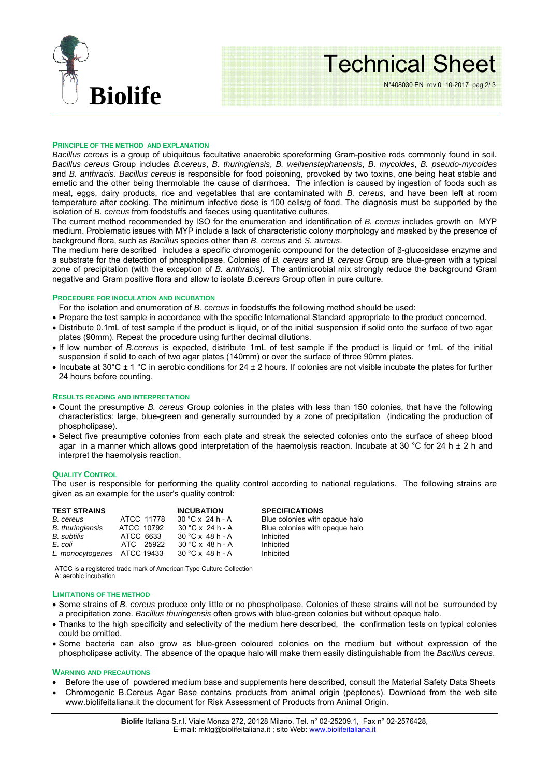

# Technical Sheet

N°408030 EN rev 0 10-2017 pag 2/ 3

#### **PRINCIPLE OF THE METHOD AND EXPLANATION**

*Bacillus cereus* is a group of ubiquitous facultative anaerobic sporeforming Gram-positive rods commonly found in soil*. Bacillus cereus* Group includes *B.cereus*, *B. thuringiensis*, *B. weihenstephanensis*, *B. mycoides*, *B. pseudo-mycoides* and *B. anthracis*. *Bacillus cereus* is responsible for food poisoning, provoked by two toxins, one being heat stable and emetic and the other being thermolable the cause of diarrhoea. The infection is caused by ingestion of foods such as meat, eggs, dairy products, rice and vegetables that are contaminated with *B. cereus,* and have been left at room temperature after cooking. The minimum infective dose is 100 cells/g of food. The diagnosis must be supported by the isolation of *B. cereus* from foodstuffs and faeces using quantitative cultures.

The current method recommended by ISO for the enumeration and identification of *B. cereus* includes growth on MYP medium. Problematic issues with MYP include a lack of characteristic colony morphology and masked by the presence of background flora, such as *Bacillus* species other than *B. cereus* and *S. aureus*.

The medium here described includes a specific chromogenic compound for the detection of β-glucosidase enzyme and a substrate for the detection of phospholipase. Colonies of *B. cereus* and *B. cereus* Group are blue-green with a typical zone of precipitation (with the exception of *B. anthracis).* The antimicrobial mix strongly reduce the background Gram negative and Gram positive flora and allow to isolate *B.cereus* Group often in pure culture.

# **PROCEDURE FOR INOCULATION AND INCUBATION**

For the isolation and enumeration of *B. cereus* in foodstuffs the following method should be used:

- Prepare the test sample in accordance with the specific International Standard appropriate to the product concerned.
- Distribute 0.1mL of test sample if the product is liquid, or of the initial suspension if solid onto the surface of two agar plates (90mm). Repeat the procedure using further decimal dilutions.
- If low number of *B.cereus* is expected, distribute 1mL of test sample if the product is liquid or 1mL of the initial suspension if solid to each of two agar plates (140mm) or over the surface of three 90mm plates.
- Incubate at 30 $^{\circ}$ C ± 1  $^{\circ}$ C in aerobic conditions for 24 ± 2 hours. If colonies are not visible incubate the plates for further 24 hours before counting.

#### **RESULTS READING AND INTERPRETATION**

- Count the presumptive *B. cereus* Group colonies in the plates with less than 150 colonies, that have the following characteristics: large, blue-green and generally surrounded by a zone of precipitation (indicating the production of phospholipase).
- Select five presumptive colonies from each plate and streak the selected colonies onto the surface of sheep blood agar in a manner which allows good interpretation of the haemolysis reaction. Incubate at 30 °C for 24 h  $\pm$  2 h and interpret the haemolysis reaction.

## **QUALITY CONTROL**

The user is responsible for performing the quality control according to national regulations. The following strains are given as an example for the user's quality control:

| <b>TEST STRAINS</b>         |            | <b>INCUBATION</b>       | <b>SPECIFICATIONS</b>          |
|-----------------------------|------------|-------------------------|--------------------------------|
| B. cereus                   | ATCC 11778 | $30 °C \times 24 h - A$ | Blue colonies with opaque halo |
| <b>B.</b> thuringiensis     | ATCC 10792 | $30 °C \times 24 h - A$ | Blue colonies with opaque halo |
| B. subtilis                 | ATCC 6633  | $30 °C \times 48 h - A$ | Inhibited                      |
| E. coli                     | ATC 25922  | $30 °C \times 48 h - A$ | Inhibited                      |
| L. monocytogenes ATCC 19433 |            | $30 °C \times 48 h - A$ | Inhibited                      |

ATCC is a registered trade mark of American Type Culture Collection A: aerobic incubation

#### **LIMITATIONS OF THE METHOD**

- Some strains of *B. cereus* produce only little or no phospholipase. Colonies of these strains will not be surrounded by a precipitation zone. *Bacillus thuringensis* often grows with blue-green colonies but without opaque halo.
- Thanks to the high specificity and selectivity of the medium here described, the confirmation tests on typical colonies could be omitted.
- Some bacteria can also grow as blue-green coloured colonies on the medium but without expression of the phospholipase activity. The absence of the opaque halo will make them easily distinguishable from the *Bacillus cereus*.

#### **WARNING AND PRECAUTIONS**

- Before the use of powdered medium base and supplements here described, consult the Material Safety Data Sheets
- Chromogenic B.Cereus Agar Base contains products from animal origin (peptones). Download from the web site www.biolifeitaliana.it the document for Risk Assessment of Products from Animal Origin.